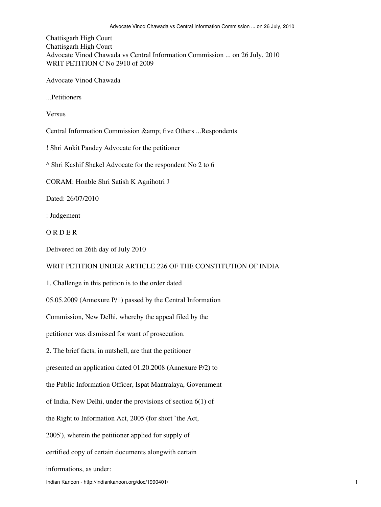Chattisgarh High Court Chattisgarh High Court Advocate Vinod Chawada vs Central Information Commission ... on 26 July, 2010 WRIT PETITION C No 2910 of 2009

Advocate Vinod Chawada

...Petitioners

Versus

Central Information Commission & amp; five Others ...Respondents

! Shri Ankit Pandey Advocate for the petitioner

^ Shri Kashif Shakel Advocate for the respondent No 2 to 6

CORAM: Honble Shri Satish K Agnihotri J

Dated: 26/07/2010

: Judgement

O R D E R

Delivered on 26th day of July 2010

## WRIT PETITION UNDER ARTICLE 226 OF THE CONSTITUTION OF INDIA

1. Challenge in this petition is to the order dated

05.05.2009 (Annexure P/1) passed by the Central Information

Commission, New Delhi, whereby the appeal filed by the

petitioner was dismissed for want of prosecution.

2. The brief facts, in nutshell, are that the petitioner

presented an application dated 01.20.2008 (Annexure P/2) to

the Public Information Officer, Ispat Mantralaya, Government

of India, New Delhi, under the provisions of section 6(1) of

the Right to Information Act, 2005 (for short `the Act,

2005'), wherein the petitioner applied for supply of

certified copy of certain documents alongwith certain

informations, as under: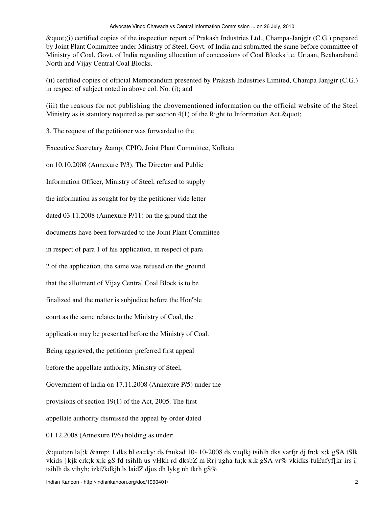"(i) certified copies of the inspection report of Prakash Industries Ltd., Champa-Janjgir (C.G.) prepared by Joint Plant Committee under Ministry of Steel, Govt. of India and submitted the same before committee of Ministry of Coal, Govt. of India regarding allocation of concessions of Coal Blocks i.e. Urtaan, Beaharaband North and Vijay Central Coal Blocks.

(ii) certified copies of official Memorandum presented by Prakash Industries Limited, Champa Janjgir (C.G.) in respect of subject noted in above col. No. (i); and

(iii) the reasons for not publishing the abovementioned information on the official website of the Steel Ministry as is statutory required as per section  $4(1)$  of the Right to Information Act.  $\&$ quot;

3. The request of the petitioner was forwarded to the

Executive Secretary & amp; CPIO, Joint Plant Committee, Kolkata

on 10.10.2008 (Annexure P/3). The Director and Public

Information Officer, Ministry of Steel, refused to supply

the information as sought for by the petitioner vide letter

dated 03.11.2008 (Annexure P/11) on the ground that the

documents have been forwarded to the Joint Plant Committee

in respect of para 1 of his application, in respect of para

2 of the application, the same was refused on the ground

that the allotment of Vijay Central Coal Block is to be

finalized and the matter is subjudice before the Hon'ble

court as the same relates to the Ministry of Coal, the

application may be presented before the Ministry of Coal.

Being aggrieved, the petitioner preferred first appeal

before the appellate authority, Ministry of Steel,

Government of India on 17.11.2008 (Annexure P/5) under the

provisions of section 19(1) of the Act, 2005. The first

appellate authority dismissed the appeal by order dated

01.12.2008 (Annexure P/6) holding as under:

"en la[;k & 1 dks bl ea=ky; ds fnukad 10- 10-2008 ds vuqlkj tsihlh dks varfjr dj fn;k x;k gSA tSlk vkids }kjk crk;k x;k gS fd tsihlh us vHkh rd dksbZ m Rrj ugha fn;k x;k gSA vr% vkidks fuEufyf[kr irs ij tsihlh ds vihyh; izkf/kdkjh ls laidZ djus dh lykg nh tkrh  $gS\%$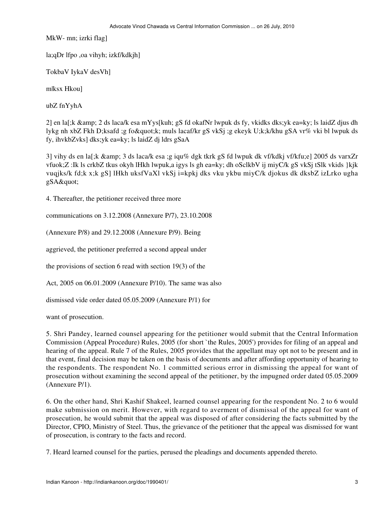MkW- mn; izrki flag]

la;qDr lfpo ,oa vihyh; izkf/kdkjh]

TokbaV IykaV desVh]

m|ksx Hkou]

ubZ fnYyhA

2] en la[;k & amp; 2 ds laca/k esa mYys[kuh; gS fd okafNr lwpuk ds fy, vkidks dks;yk ea=ky; ls laidZ djus dh lykg nh xbZ Fkh D;ksafd ;g fo"k; muls lacaf/kr gS vkSj ;g ekeyk U;k;k/khu gSA vr% vki bl lwpuk ds fy, ihvkbZvks] dks;yk ea=ky; ls laidZ dj ldrs gSaA

3] vihy ds en la[;k & amp; 3 ds laca/k esa ;g iqu% dgk tkrk gS fd lwpuk dk vf/kdkj vf/kfu;e] 2005 ds varxZr vfuok;Z :Ik ls crkbZ tkus okyh lHkh lwpuk,a igys ls gh ea=ky; dh oSclkbV ij miyC/k gS vkSj tSlk vkids }kjk vuqjks/k fd;k x;k gS] lHkh uksfVaXl vkSj i=kpkj dks vku ykbu miyC/k djokus dk dksbZ izLrko ugha  $gSA\&$ quot;

4. Thereafter, the petitioner received three more

communications on 3.12.2008 (Annexure P/7), 23.10.2008

(Annexure P/8) and 29.12.2008 (Annexure P/9). Being

aggrieved, the petitioner preferred a second appeal under

the provisions of section 6 read with section 19(3) of the

Act, 2005 on 06.01.2009 (Annexure P/10). The same was also

dismissed vide order dated 05.05.2009 (Annexure P/1) for

want of prosecution.

5. Shri Pandey, learned counsel appearing for the petitioner would submit that the Central Information Commission (Appeal Procedure) Rules, 2005 (for short `the Rules, 2005') provides for filing of an appeal and hearing of the appeal. Rule 7 of the Rules, 2005 provides that the appellant may opt not to be present and in that event, final decision may be taken on the basis of documents and after affording opportunity of hearing to the respondents. The respondent No. 1 committed serious error in dismissing the appeal for want of prosecution without examining the second appeal of the petitioner, by the impugned order dated 05.05.2009 (Annexure P/1).

6. On the other hand, Shri Kashif Shakeel, learned counsel appearing for the respondent No. 2 to 6 would make submission on merit. However, with regard to averment of dismissal of the appeal for want of prosecution, he would submit that the appeal was disposed of after considering the facts submitted by the Director, CPIO, Ministry of Steel. Thus, the grievance of the petitioner that the appeal was dismissed for want of prosecution, is contrary to the facts and record.

7. Heard learned counsel for the parties, perused the pleadings and documents appended thereto.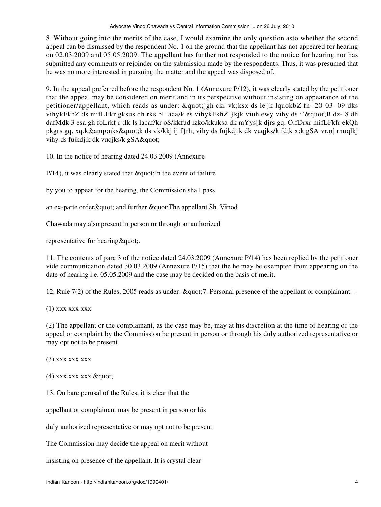8. Without going into the merits of the case, I would examine the only question asto whether the second appeal can be dismissed by the respondent No. 1 on the ground that the appellant has not appeared for hearing on 02.03.2009 and 05.05.2009. The appellant has further not responded to the notice for hearing nor has submitted any comments or rejoinder on the submission made by the respondents. Thus, it was presumed that he was no more interested in pursuing the matter and the appeal was disposed of.

9. In the appeal preferred before the respondent No. 1 (Annexure P/12), it was clearly stated by the petitioner that the appeal may be considered on merit and in its perspective without insisting on appearance of the petitioner/appellant, which reads as under: "jgh ckr vk;ksx ds le{k lquokbZ fn- 20-03- 09 dks vihykFkhZ ds mifLFkr gksus dh rks bl laca/k es vihykFkhZ }kjk viuh ewy vihy ds i`"B dz- 8 dh dafMdk 3 esa gh foLrkfjr :Ik ls lacaf/kr oS/kkfud izko/kkuksa dk mYys[k djrs gq, O;fDrxr mifLFkfr ekQh pkgrs gq, xq.k&nks"k ds vk/kkj ij f}rh; vihy ds fujkdj.k dk vuqjks/k fd;k x;k gSA vr,o] rnuqlkj vihy ds fujkdj.k dk vuqjks/k gSA"

10. In the notice of hearing dated 24.03.2009 (Annexure

 $P/14$ ), it was clearly stated that  $\&$  quot; In the event of failure

by you to appear for the hearing, the Commission shall pass

an ex-parte order & quot; and further & quot; The appellant Sh. Vinod

Chawada may also present in person or through an authorized

representative for hearing & quot;.

11. The contents of para 3 of the notice dated 24.03.2009 (Annexure P/14) has been replied by the petitioner vide communication dated 30.03.2009 (Annexure P/15) that the he may be exempted from appearing on the date of hearing i.e. 05.05.2009 and the case may be decided on the basis of merit.

12. Rule 7(2) of the Rules, 2005 reads as under:  $\&$ quot; 7. Personal presence of the appellant or complainant. -

(1) xxx xxx xxx

(2) The appellant or the complainant, as the case may be, may at his discretion at the time of hearing of the appeal or complaint by the Commission be present in person or through his duly authorized representative or may opt not to be present.

(3) xxx xxx xxx

 $(4)$  xxx xxx  $x$ xx  $\&$ quot;

13. On bare perusal of the Rules, it is clear that the

appellant or complainant may be present in person or his

duly authorized representative or may opt not to be present.

The Commission may decide the appeal on merit without

insisting on presence of the appellant. It is crystal clear